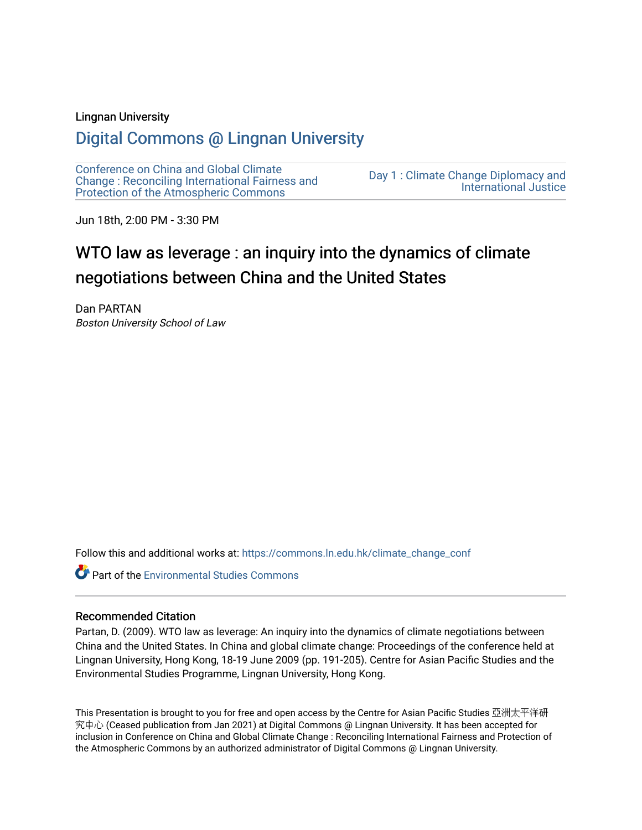## Lingnan University

# [Digital Commons @ Lingnan University](https://commons.ln.edu.hk/)

[Conference on China and Global Climate](https://commons.ln.edu.hk/climate_change_conf)  [Change : Reconciling International Fairness and](https://commons.ln.edu.hk/climate_change_conf)  [Protection of the Atmospheric Commons](https://commons.ln.edu.hk/climate_change_conf)

[Day 1 : Climate Change Diplomacy and](https://commons.ln.edu.hk/climate_change_conf/day1)  [International Justice](https://commons.ln.edu.hk/climate_change_conf/day1) 

Jun 18th, 2:00 PM - 3:30 PM

# WTO law as leverage : an inquiry into the dynamics of climate negotiations between China and the United States

Dan PARTAN Boston University School of Law

Follow this and additional works at: [https://commons.ln.edu.hk/climate\\_change\\_conf](https://commons.ln.edu.hk/climate_change_conf?utm_source=commons.ln.edu.hk%2Fclimate_change_conf%2Fday1%2Fs3%2F2&utm_medium=PDF&utm_campaign=PDFCoverPages) 

**Part of the [Environmental Studies Commons](https://network.bepress.com/hgg/discipline/1333?utm_source=commons.ln.edu.hk%2Fclimate_change_conf%2Fday1%2Fs3%2F2&utm_medium=PDF&utm_campaign=PDFCoverPages)** 

#### Recommended Citation

Partan, D. (2009). WTO law as leverage: An inquiry into the dynamics of climate negotiations between China and the United States. In China and global climate change: Proceedings of the conference held at Lingnan University, Hong Kong, 18-19 June 2009 (pp. 191-205). Centre for Asian Pacific Studies and the Environmental Studies Programme, Lingnan University, Hong Kong.

This Presentation is brought to you for free and open access by the Centre for Asian Pacific Studies 亞洲太平洋研 究中心 (Ceased publication from Jan 2021) at Digital Commons @ Lingnan University. It has been accepted for inclusion in Conference on China and Global Climate Change : Reconciling International Fairness and Protection of the Atmospheric Commons by an authorized administrator of Digital Commons @ Lingnan University.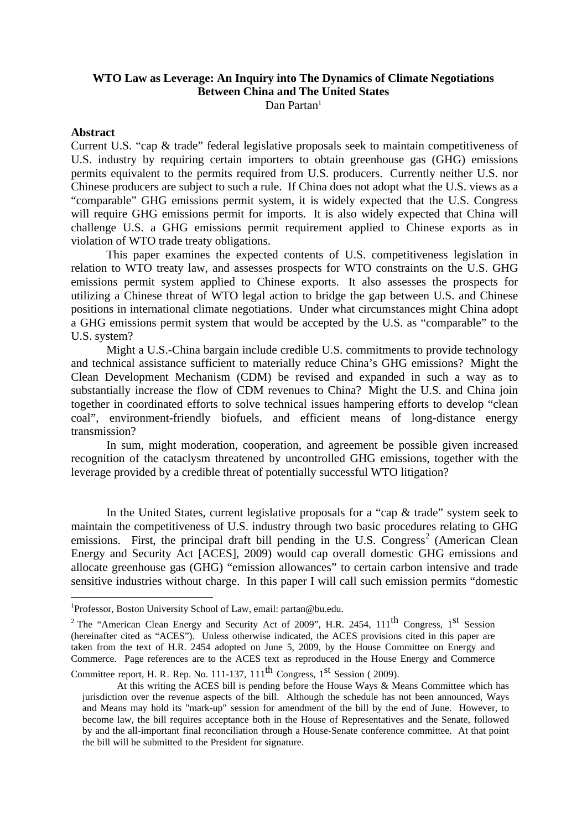# **WTO Law as Leverage: An Inquiry into The Dynamics of Climate Negotiations Between China and The United States**

Dan Partan<sup>1</sup>

#### **Abstract**

1

Current U.S. "cap & trade" federal legislative proposals seek to maintain competitiveness of U.S. industry by requiring certain importers to obtain greenhouse gas (GHG) emissions permits equivalent to the permits required from U.S. producers. Currently neither U.S. nor Chinese producers are subject to such a rule. If China does not adopt what the U.S. views as a "comparable" GHG emissions permit system, it is widely expected that the U.S. Congress will require GHG emissions permit for imports. It is also widely expected that China will challenge U.S. a GHG emissions permit requirement applied to Chinese exports as in violation of WTO trade treaty obligations.

 This paper examines the expected contents of U.S. competitiveness legislation in relation to WTO treaty law, and assesses prospects for WTO constraints on the U.S. GHG emissions permit system applied to Chinese exports. It also assesses the prospects for utilizing a Chinese threat of WTO legal action to bridge the gap between U.S. and Chinese positions in international climate negotiations. Under what circumstances might China adopt a GHG emissions permit system that would be accepted by the U.S. as "comparable" to the U.S. system?

 Might a U.S.-China bargain include credible U.S. commitments to provide technology and technical assistance sufficient to materially reduce China's GHG emissions? Might the Clean Development Mechanism (CDM) be revised and expanded in such a way as to substantially increase the flow of CDM revenues to China? Might the U.S. and China join together in coordinated efforts to solve technical issues hampering efforts to develop "clean coal", environment-friendly biofuels, and efficient means of long-distance energy transmission?

 In sum, might moderation, cooperation, and agreement be possible given increased recognition of the cataclysm threatened by uncontrolled GHG emissions, together with the leverage provided by a credible threat of potentially successful WTO litigation?

 In the United States, current legislative proposals for a "cap & trade" system seek to maintain the competitiveness of U.S. industry through two basic procedures relating to GHG emissions. First, the principal draft bill pending in the U.S. Congress<sup>2</sup> (American Clean Energy and Security Act [ACES], 2009) would cap overall domestic GHG emissions and allocate greenhouse gas (GHG) "emission allowances" to certain carbon intensive and trade sensitive industries without charge. In this paper I will call such emission permits "domestic

<sup>&</sup>lt;sup>1</sup>Professor, Boston University School of Law, email: partan@bu.edu.

<sup>&</sup>lt;sup>2</sup> The "American Clean Energy and Security Act of 2009", H.R. 2454,  $111<sup>th</sup>$  Congress,  $1<sup>st</sup>$  Session (hereinafter cited as "ACES"). Unless otherwise indicated, the ACES provisions cited in this paper are taken from the text of H.R. 2454 adopted on June 5, 2009, by the House Committee on Energy and Commerce. Page references are to the ACES text as reproduced in the House Energy and Commerce

Committee report, H. R. Rep. No. 111-137,  $111<sup>th</sup>$  Congress,  $1<sup>st</sup>$  Session ( 2009).

At this writing the ACES bill is pending before the House Ways & Means Committee which has jurisdiction over the revenue aspects of the bill. Although the schedule has not been announced, Ways and Means may hold its "mark-up" session for amendment of the bill by the end of June. However, to become law, the bill requires acceptance both in the House of Representatives and the Senate, followed by and the all-important final reconciliation through a House-Senate conference committee. At that point the bill will be submitted to the President for signature.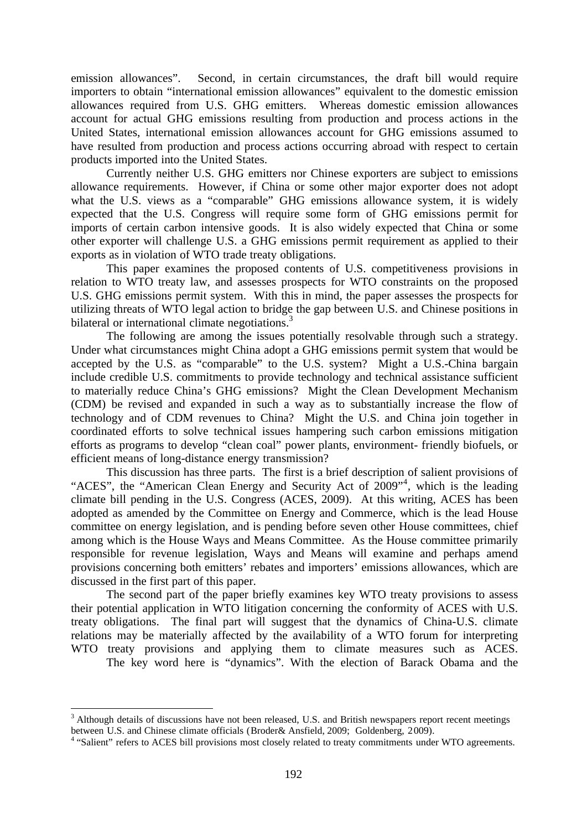emission allowances". Second, in certain circumstances, the draft bill would require importers to obtain "international emission allowances" equivalent to the domestic emission allowances required from U.S. GHG emitters. Whereas domestic emission allowances account for actual GHG emissions resulting from production and process actions in the United States, international emission allowances account for GHG emissions assumed to have resulted from production and process actions occurring abroad with respect to certain products imported into the United States.

 Currently neither U.S. GHG emitters nor Chinese exporters are subject to emissions allowance requirements. However, if China or some other major exporter does not adopt what the U.S. views as a "comparable" GHG emissions allowance system, it is widely expected that the U.S. Congress will require some form of GHG emissions permit for imports of certain carbon intensive goods. It is also widely expected that China or some other exporter will challenge U.S. a GHG emissions permit requirement as applied to their exports as in violation of WTO trade treaty obligations.

This paper examines the proposed contents of U.S. competitiveness provisions in relation to WTO treaty law, and assesses prospects for WTO constraints on the proposed U.S. GHG emissions permit system. With this in mind, the paper assesses the prospects for utilizing threats of WTO legal action to bridge the gap between U.S. and Chinese positions in bilateral or international climate negotiations.<sup>3</sup>

The following are among the issues potentially resolvable through such a strategy. Under what circumstances might China adopt a GHG emissions permit system that would be accepted by the U.S. as "comparable" to the U.S. system? Might a U.S.-China bargain include credible U.S. commitments to provide technology and technical assistance sufficient to materially reduce China's GHG emissions? Might the Clean Development Mechanism (CDM) be revised and expanded in such a way as to substantially increase the flow of technology and of CDM revenues to China? Might the U.S. and China join together in coordinated efforts to solve technical issues hampering such carbon emissions mitigation efforts as programs to develop "clean coal" power plants, environment- friendly biofuels, or efficient means of long-distance energy transmission?

This discussion has three parts. The first is a brief description of salient provisions of "ACES", the "American Clean Energy and Security Act of 2009"<sup>4</sup>, which is the leading climate bill pending in the U.S. Congress (ACES, 2009). At this writing, ACES has been adopted as amended by the Committee on Energy and Commerce, which is the lead House committee on energy legislation, and is pending before seven other House committees, chief among which is the House Ways and Means Committee. As the House committee primarily responsible for revenue legislation, Ways and Means will examine and perhaps amend provisions concerning both emitters' rebates and importers' emissions allowances, which are discussed in the first part of this paper.

The second part of the paper briefly examines key WTO treaty provisions to assess their potential application in WTO litigation concerning the conformity of ACES with U.S. treaty obligations. The final part will suggest that the dynamics of China-U.S. climate relations may be materially affected by the availability of a WTO forum for interpreting WTO treaty provisions and applying them to climate measures such as ACES.

The key word here is "dynamics". With the election of Barack Obama and the

 $3$  Although details of discussions have not been released, U.S. and British newspapers report recent meetings between U.S. and Chinese climate officials (Broder& Ansfield, 2009; Goldenberg, 2009).

<sup>&</sup>lt;sup>4</sup> "Salient" refers to ACES bill provisions most closely related to treaty commitments under WTO agreements.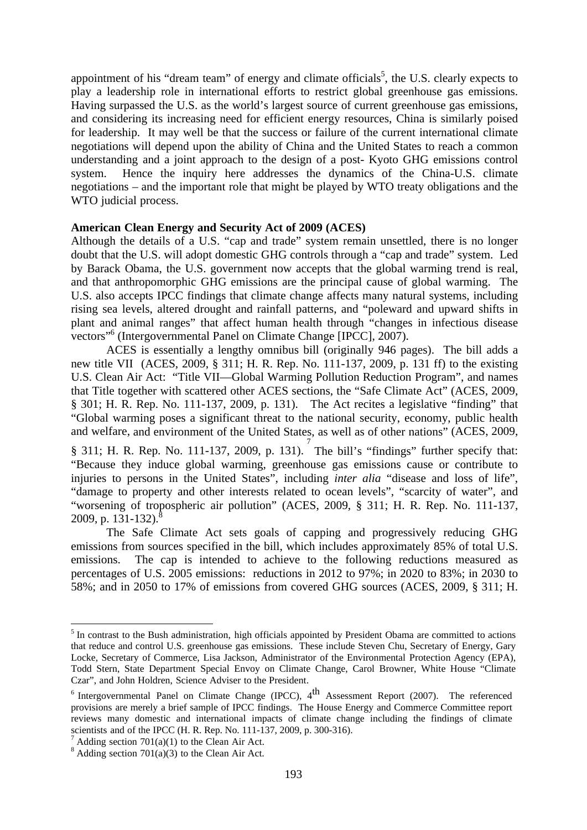appointment of his "dream team" of energy and climate officials<sup>5</sup>, the U.S. clearly expects to play a leadership role in international efforts to restrict global greenhouse gas emissions. Having surpassed the U.S. as the world's largest source of current greenhouse gas emissions, and considering its increasing need for efficient energy resources, China is similarly poised for leadership. It may well be that the success or failure of the current international climate negotiations will depend upon the ability of China and the United States to reach a common understanding and a joint approach to the design of a post- Kyoto GHG emissions control system. Hence the inquiry here addresses the dynamics of the China-U.S. climate negotiations – and the important role that might be played by WTO treaty obligations and the WTO judicial process.

#### **American Clean Energy and Security Act of 2009 (ACES)**

Although the details of a U.S. "cap and trade" system remain unsettled, there is no longer doubt that the U.S. will adopt domestic GHG controls through a "cap and trade" system. Led by Barack Obama, the U.S. government now accepts that the global warming trend is real, and that anthropomorphic GHG emissions are the principal cause of global warming. The U.S. also accepts IPCC findings that climate change affects many natural systems, including rising sea levels, altered drought and rainfall patterns, and "poleward and upward shifts in plant and animal ranges" that affect human health through "changes in infectious disease vectors"6 (Intergovernmental Panel on Climate Change [IPCC], 2007).

ACES is essentially a lengthy omnibus bill (originally 946 pages). The bill adds a new title VII (ACES, 2009, § 311; H. R. Rep. No. 111-137, 2009, p. 131 ff) to the existing U.S. Clean Air Act: "Title VII—Global Warming Pollution Reduction Program", and names that Title together with scattered other ACES sections, the "Safe Climate Act" (ACES, 2009, § 301; H. R. Rep. No. 111-137, 2009, p. 131). The Act recites a legislative "finding" that "Global warming poses a significant threat to the national security, economy, public health and welfare, and environment of the United States, as well as of other nations" (ACES, 2009,

 $\S$  311; H. R. Rep. No. 111-137, 2009, p. 131). The bill's "findings" further specify that: "Because they induce global warming, greenhouse gas emissions cause or contribute to injuries to persons in the United States", including *inter alia* "disease and loss of life", "damage to property and other interests related to ocean levels", "scarcity of water", and "worsening of tropospheric air pollution" (ACES, 2009, § 311; H. R. Rep. No. 111-137, 2009, p. 131-132).

The Safe Climate Act sets goals of capping and progressively reducing GHG emissions from sources specified in the bill, which includes approximately 85% of total U.S. emissions. The cap is intended to achieve to the following reductions measured as percentages of U.S. 2005 emissions: reductions in 2012 to 97%; in 2020 to 83%; in 2030 to 58%; and in 2050 to 17% of emissions from covered GHG sources (ACES, 2009, § 311; H.

<sup>&</sup>lt;sup>5</sup> In contrast to the Bush administration, high officials appointed by President Obama are committed to actions that reduce and control U.S. greenhouse gas emissions. These include Steven Chu, Secretary of Energy, Gary Locke, Secretary of Commerce, Lisa Jackson, Administrator of the Environmental Protection Agency (EPA), Todd Stern, State Department Special Envoy on Climate Change, Carol Browner, White House "Climate Czar", and John Holdren, Science Adviser to the President.

 $6$  Intergovernmental Panel on Climate Change (IPCC),  $4<sup>th</sup>$  Assessment Report (2007). The referenced provisions are merely a brief sample of IPCC findings. The House Energy and Commerce Committee report reviews many domestic and international impacts of climate change including the findings of climate scientists and of the IPCC (H. R. Rep. No. 111-137, 2009, p. 300-316).

<sup>&</sup>lt;sup>7</sup> Adding section 701(a)(1) to the Clean Air Act. <sup>8</sup> Adding section 701(a)(3) to the Clean Air Act.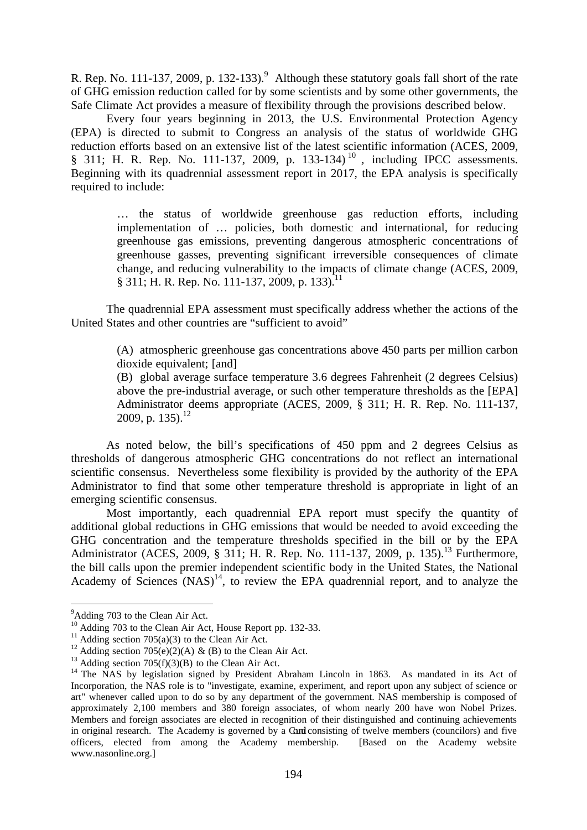R. Rep. No. 111-137, 2009, p. 132-133).<sup>9</sup> Although these statutory goals fall short of the rate of GHG emission reduction called for by some scientists and by some other governments, the Safe Climate Act provides a measure of flexibility through the provisions described below.

Every four years beginning in 2013, the U.S. Environmental Protection Agency (EPA) is directed to submit to Congress an analysis of the status of worldwide GHG reduction efforts based on an extensive list of the latest scientific information (ACES, 2009, § 311; H. R. Rep. No. 111-137, 2009, p. 133-134)<sup>10</sup>, including IPCC assessments. Beginning with its quadrennial assessment report in 2017, the EPA analysis is specifically required to include:

> … the status of worldwide greenhouse gas reduction efforts, including implementation of … policies, both domestic and international, for reducing greenhouse gas emissions, preventing dangerous atmospheric concentrations of greenhouse gasses, preventing significant irreversible consequences of climate change, and reducing vulnerability to the impacts of climate change (ACES, 2009,  $\S 311$ ; H. R. Rep. No. 111-137, 2009, p. 133).<sup>11</sup>

 The quadrennial EPA assessment must specifically address whether the actions of the United States and other countries are "sufficient to avoid"

> (A) atmospheric greenhouse gas concentrations above 450 parts per million carbon dioxide equivalent; [and]

> (B) global average surface temperature 3.6 degrees Fahrenheit (2 degrees Celsius) above the pre-industrial average, or such other temperature thresholds as the [EPA] Administrator deems appropriate (ACES, 2009, § 311; H. R. Rep. No. 111-137, 2009, p. 135).<sup>12</sup>

 As noted below, the bill's specifications of 450 ppm and 2 degrees Celsius as thresholds of dangerous atmospheric GHG concentrations do not reflect an international scientific consensus. Nevertheless some flexibility is provided by the authority of the EPA Administrator to find that some other temperature threshold is appropriate in light of an emerging scientific consensus.

Most importantly, each quadrennial EPA report must specify the quantity of additional global reductions in GHG emissions that would be needed to avoid exceeding the GHG concentration and the temperature thresholds specified in the bill or by the EPA Administrator (ACES, 2009, § 311; H. R. Rep. No. 111-137, 2009, p. 135).<sup>13</sup> Furthermore, the bill calls upon the premier independent scientific body in the United States, the National Academy of Sciences  $(NAS)^{14}$ , to review the EPA quadrennial report, and to analyze the

<u>.</u>

<sup>&</sup>lt;sup>9</sup>Adding 703 to the Clean Air Act.

<sup>&</sup>lt;sup>10</sup> Adding 703 to the Clean Air Act, House Report pp. 132-33.<br><sup>11</sup> Adding section 705(a)(3) to the Clean Air Act.<br><sup>12</sup> Adding section 705(e)(2)(A) & (B) to the Clean Air Act.<br><sup>13</sup> Adding section 705(f)(3)(B) to the Clean Incorporation, the NAS role is to "investigate, examine, experiment, and report upon any subject of science or art" whenever called upon to do so by any department of the government. NAS membership is composed of approximately 2,100 members and 380 foreign associates, of whom nearly 200 have won Nobel Prizes. Members and foreign associates are elected in recognition of their distinguished and continuing achievements in original research. The Academy is governed by a Cond consisting of twelve members (councilors) and five officers, elected from among the Academy membership. [Based on the Academy website www.nasonline.org.]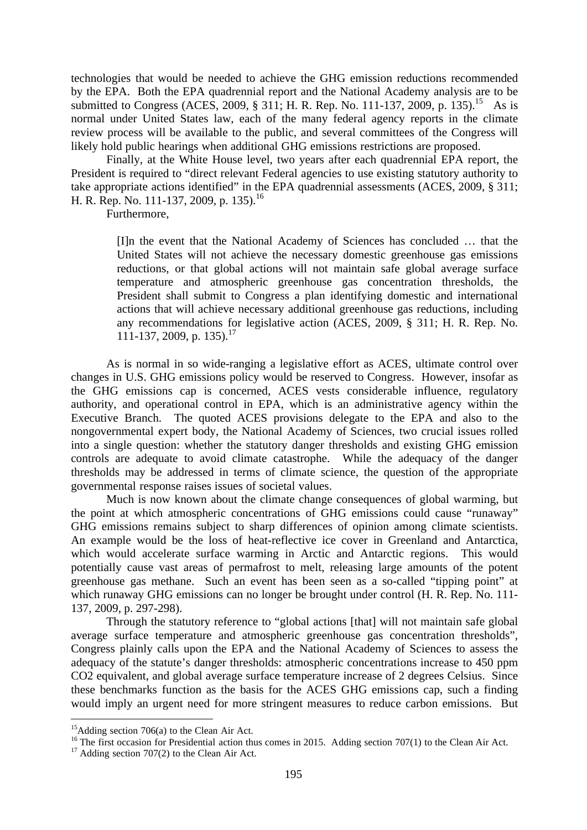technologies that would be needed to achieve the GHG emission reductions recommended by the EPA. Both the EPA quadrennial report and the National Academy analysis are to be submitted to Congress (ACES, 2009, § 311; H. R. Rep. No. 111-137, 2009, p. 135).<sup>15</sup> As is normal under United States law, each of the many federal agency reports in the climate review process will be available to the public, and several committees of the Congress will likely hold public hearings when additional GHG emissions restrictions are proposed.

Finally, at the White House level, two years after each quadrennial EPA report, the President is required to "direct relevant Federal agencies to use existing statutory authority to take appropriate actions identified" in the EPA quadrennial assessments (ACES, 2009, § 311; H. R. Rep. No. 111-137, 2009, p. 135).<sup>16</sup>

Furthermore,

[I]n the event that the National Academy of Sciences has concluded … that the United States will not achieve the necessary domestic greenhouse gas emissions reductions, or that global actions will not maintain safe global average surface temperature and atmospheric greenhouse gas concentration thresholds, the President shall submit to Congress a plan identifying domestic and international actions that will achieve necessary additional greenhouse gas reductions, including any recommendations for legislative action (ACES, 2009, § 311; H. R. Rep. No. 111-137, 2009, p. 135).<sup>17</sup>

 As is normal in so wide-ranging a legislative effort as ACES, ultimate control over changes in U.S. GHG emissions policy would be reserved to Congress. However, insofar as the GHG emissions cap is concerned, ACES vests considerable influence, regulatory authority, and operational control in EPA, which is an administrative agency within the Executive Branch. The quoted ACES provisions delegate to the EPA and also to the nongovernmental expert body, the National Academy of Sciences, two crucial issues rolled into a single question: whether the statutory danger thresholds and existing GHG emission controls are adequate to avoid climate catastrophe. While the adequacy of the danger thresholds may be addressed in terms of climate science, the question of the appropriate governmental response raises issues of societal values.

Much is now known about the climate change consequences of global warming, but the point at which atmospheric concentrations of GHG emissions could cause "runaway" GHG emissions remains subject to sharp differences of opinion among climate scientists. An example would be the loss of heat-reflective ice cover in Greenland and Antarctica, which would accelerate surface warming in Arctic and Antarctic regions. This would potentially cause vast areas of permafrost to melt, releasing large amounts of the potent greenhouse gas methane. Such an event has been seen as a so-called "tipping point" at which runaway GHG emissions can no longer be brought under control (H. R. Rep. No. 111- 137, 2009, p. 297-298).

Through the statutory reference to "global actions [that] will not maintain safe global average surface temperature and atmospheric greenhouse gas concentration thresholds", Congress plainly calls upon the EPA and the National Academy of Sciences to assess the adequacy of the statute's danger thresholds: atmospheric concentrations increase to 450 ppm CO2 equivalent, and global average surface temperature increase of 2 degrees Celsius. Since these benchmarks function as the basis for the ACES GHG emissions cap, such a finding would imply an urgent need for more stringent measures to reduce carbon emissions. But

<sup>&</sup>lt;sup>15</sup>Adding section 706(a) to the Clean Air Act.<br><sup>16</sup> The first occasion for Presidential action thus comes in 2015. Adding section 707(1) to the Clean Air Act. <sup>17</sup> Adding section 707(2) to the Clean Air Act.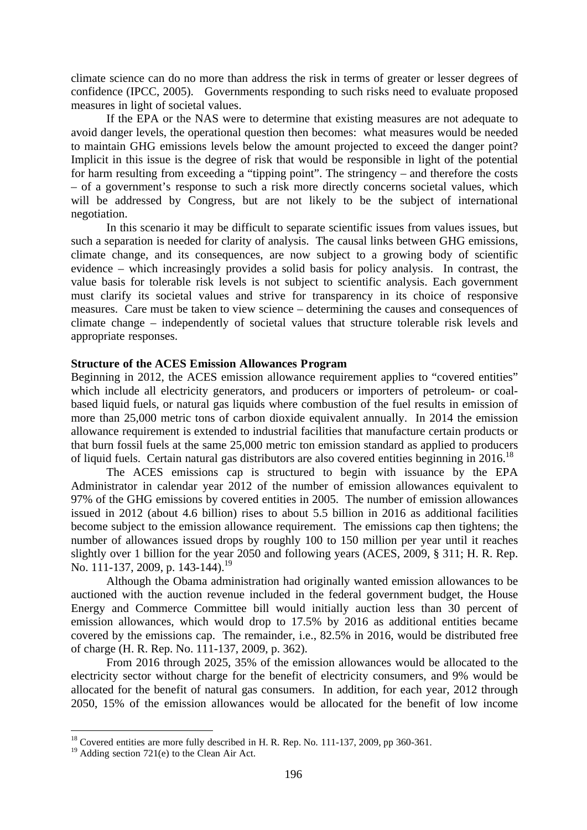climate science can do no more than address the risk in terms of greater or lesser degrees of confidence (IPCC, 2005). Governments responding to such risks need to evaluate proposed measures in light of societal values.

If the EPA or the NAS were to determine that existing measures are not adequate to avoid danger levels, the operational question then becomes: what measures would be needed to maintain GHG emissions levels below the amount projected to exceed the danger point? Implicit in this issue is the degree of risk that would be responsible in light of the potential for harm resulting from exceeding a "tipping point". The stringency – and therefore the costs – of a government's response to such a risk more directly concerns societal values, which will be addressed by Congress, but are not likely to be the subject of international negotiation.

In this scenario it may be difficult to separate scientific issues from values issues, but such a separation is needed for clarity of analysis. The causal links between GHG emissions, climate change, and its consequences, are now subject to a growing body of scientific evidence – which increasingly provides a solid basis for policy analysis. In contrast, the value basis for tolerable risk levels is not subject to scientific analysis. Each government must clarify its societal values and strive for transparency in its choice of responsive measures. Care must be taken to view science – determining the causes and consequences of climate change – independently of societal values that structure tolerable risk levels and appropriate responses.

#### **Structure of the ACES Emission Allowances Program**

Beginning in 2012, the ACES emission allowance requirement applies to "covered entities" which include all electricity generators, and producers or importers of petroleum- or coalbased liquid fuels, or natural gas liquids where combustion of the fuel results in emission of more than 25,000 metric tons of carbon dioxide equivalent annually. In 2014 the emission allowance requirement is extended to industrial facilities that manufacture certain products or that burn fossil fuels at the same 25,000 metric ton emission standard as applied to producers of liquid fuels. Certain natural gas distributors are also covered entities beginning in 2016.<sup>18</sup>

 The ACES emissions cap is structured to begin with issuance by the EPA Administrator in calendar year 2012 of the number of emission allowances equivalent to 97% of the GHG emissions by covered entities in 2005. The number of emission allowances issued in 2012 (about 4.6 billion) rises to about 5.5 billion in 2016 as additional facilities become subject to the emission allowance requirement. The emissions cap then tightens; the number of allowances issued drops by roughly 100 to 150 million per year until it reaches slightly over 1 billion for the year 2050 and following years (ACES, 2009, § 311; H. R. Rep. No. 111-137, 2009, p. 143-144).<sup>19</sup>

 Although the Obama administration had originally wanted emission allowances to be auctioned with the auction revenue included in the federal government budget, the House Energy and Commerce Committee bill would initially auction less than 30 percent of emission allowances, which would drop to 17.5% by 2016 as additional entities became covered by the emissions cap. The remainder, i.e., 82.5% in 2016, would be distributed free of charge (H. R. Rep. No. 111-137, 2009, p. 362).

From 2016 through 2025, 35% of the emission allowances would be allocated to the electricity sector without charge for the benefit of electricity consumers, and 9% would be allocated for the benefit of natural gas consumers. In addition, for each year, 2012 through 2050, 15% of the emission allowances would be allocated for the benefit of low income

 $^{18}$  Covered entities are more fully described in H. R. Rep. No. 111-137, 2009, pp 360-361.

<sup>&</sup>lt;sup>19</sup> Adding section 721(e) to the Clean Air Act.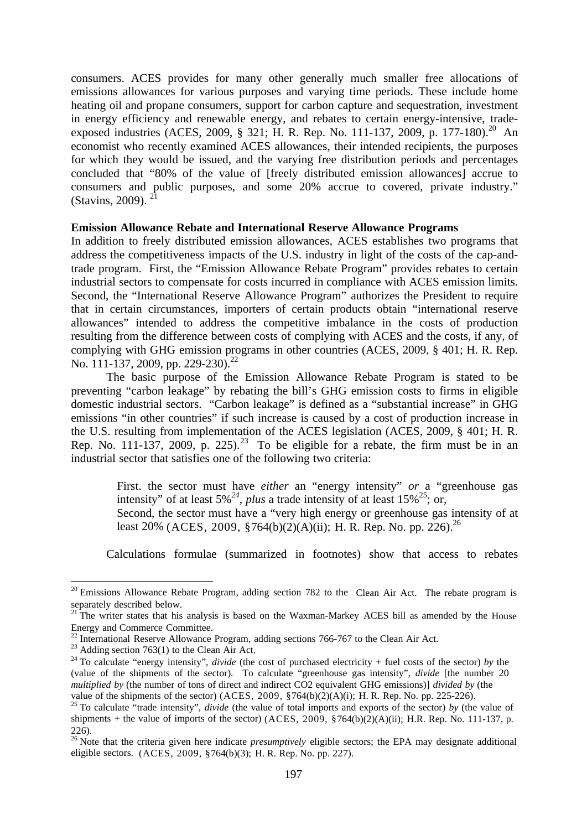consumers. ACES provides for many other generally much smaller free allocations of emissions allowances for various purposes and varying time periods. These include home heating oil and propane consumers, support for carbon capture and sequestration, investment in energy efficiency and renewable energy, and rebates to certain energy-intensive, tradeexposed industries (ACES, 2009, § 321; H. R. Rep. No. 111-137, 2009, p. 177-180).<sup>20</sup> An economist who recently examined ACES allowances, their intended recipients, the purposes for which they would be issued, and the varying free distribution periods and percentages concluded that "80% of the value of [freely distributed emission allowances] accrue to consumers and public purposes, and some 20% accrue to covered, private industry." (Stavins, 2009). $^{2}$ 

#### **Emission Allowance Rebate and International Reserve Allowance Programs**

In addition to freely distributed emission allowances, ACES establishes two programs that address the competitiveness impacts of the U.S. industry in light of the costs of the cap-andtrade program. First, the "Emission Allowance Rebate Program" provides rebates to certain industrial sectors to compensate for costs incurred in compliance with ACES emission limits. Second, the "International Reserve Allowance Program" authorizes the President to require that in certain circumstances, importers of certain products obtain "international reserve allowances" intended to address the competitive imbalance in the costs of production resulting from the difference between costs of complying with ACES and the costs, if any, of complying with GHG emission programs in other countries (ACES, 2009, § 401; H. R. Rep. No. 111-137, 2009, pp. 229-230).<sup>22</sup>

 The basic purpose of the Emission Allowance Rebate Program is stated to be preventing "carbon leakage" by rebating the bill's GHG emission costs to firms in eligible domestic industrial sectors. "Carbon leakage" is defined as a "substantial increase" in GHG emissions "in other countries" if such increase is caused by a cost of production increase in the U.S. resulting from implementation of the ACES legislation (ACES, 2009, § 401; H. R. Rep. No. 111-137, 2009, p. 225).<sup>23</sup> To be eligible for a rebate, the firm must be in an industrial sector that satisfies one of the following two criteria:

First. the sector must have *either* an "energy intensity" *or* a "greenhouse gas intensity" of at least  $5\%^{24}$ , *plus* a trade intensity of at least  $15\%^{25}$ ; or,

Second, the sector must have a "very high energy or greenhouse gas intensity of at least 20% (ACES, 2009, §764(b)(2)(A)(ii); H. R. Rep. No. pp. 226).<sup>26</sup>

Calculations formulae (summarized in footnotes) show that access to rebates

 $20$  Emissions Allowance Rebate Program, adding section 782 to the Clean Air Act. The rebate program is separately described below. <sup>21</sup> The writer states that his analysis is based on the Waxman-Markey ACES bill as amended by the House

Energy and Commerce Committee.<br><sup>22</sup> International Reserve Allowance Program, adding sections 766-767 to the Clean Air Act.<br><sup>23</sup> Adding section 763(1) to the Clean Air Act.<br><sup>24</sup> To calculate "energy intensity", *divide* (t

<sup>(</sup>value of the shipments of the sector). To calculate "greenhouse gas intensity", *divide* [the number 20 *multiplied by* (the number of tons of direct and indirect CO2 equivalent GHG emissions)] *divided by* (the value of the shipments of the sector) (ACES, 2009, §764(b)(2)(A)(i); H. R. Rep. No. pp. 225-226).

<sup>&</sup>lt;sup>25</sup> To calculate "trade intensity", *divide* (the value of total imports and exports of the sector) by (the value of shipments + the value of imports of the sector) (ACES, 2009,  $\frac{$764(b)(2)(A)(ii)}{[4](2)(A)(ii)}$ ; H.R. Rep. No. 111-137, p. 226).

<sup>&</sup>lt;sup>26</sup> Note that the criteria given here indicate *presumptively* eligible sectors; the EPA may designate additional eligible sectors. (ACES, 2009, §764(b)(3); H. R. Rep. No. pp. 227).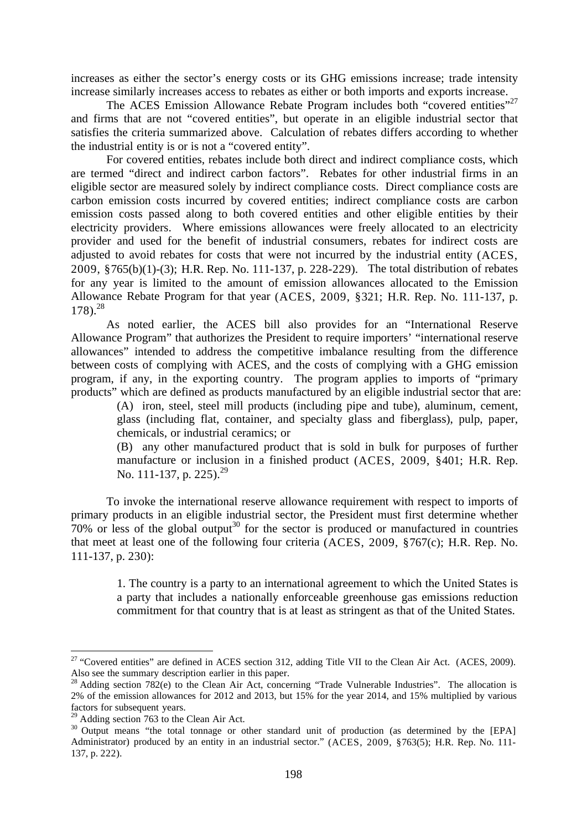increases as either the sector's energy costs or its GHG emissions increase; trade intensity increase similarly increases access to rebates as either or both imports and exports increase.

The ACES Emission Allowance Rebate Program includes both "covered entities"<sup>27</sup> and firms that are not "covered entities", but operate in an eligible industrial sector that satisfies the criteria summarized above. Calculation of rebates differs according to whether the industrial entity is or is not a "covered entity".

For covered entities, rebates include both direct and indirect compliance costs, which are termed "direct and indirect carbon factors". Rebates for other industrial firms in an eligible sector are measured solely by indirect compliance costs. Direct compliance costs are carbon emission costs incurred by covered entities; indirect compliance costs are carbon emission costs passed along to both covered entities and other eligible entities by their electricity providers. Where emissions allowances were freely allocated to an electricity provider and used for the benefit of industrial consumers, rebates for indirect costs are adjusted to avoid rebates for costs that were not incurred by the industrial entity (ACES, 2009, §765(b)(1)-(3); H.R. Rep. No. 111-137, p. 228-229). The total distribution of rebates for any year is limited to the amount of emission allowances allocated to the Emission Allowance Rebate Program for that year (ACES, 2009, §321; H.R. Rep. No. 111-137, p.  $178$ .  $^{28}$ 

As noted earlier, the ACES bill also provides for an "International Reserve Allowance Program" that authorizes the President to require importers' "international reserve allowances" intended to address the competitive imbalance resulting from the difference between costs of complying with ACES, and the costs of complying with a GHG emission program, if any, in the exporting country. The program applies to imports of "primary products" which are defined as products manufactured by an eligible industrial sector that are:

> (A) iron, steel, steel mill products (including pipe and tube), aluminum, cement, glass (including flat, container, and specialty glass and fiberglass), pulp, paper, chemicals, or industrial ceramics; or

> (B) any other manufactured product that is sold in bulk for purposes of further manufacture or inclusion in a finished product (ACES, 2009, §401; H.R. Rep. No. 111-137, p. 225).<sup>29</sup>

 To invoke the international reserve allowance requirement with respect to imports of primary products in an eligible industrial sector, the President must first determine whether  $70\%$  or less of the global output<sup>30</sup> for the sector is produced or manufactured in countries that meet at least one of the following four criteria (ACES, 2009, §767(c); H.R. Rep. No. 111-137, p. 230):

> 1. The country is a party to an international agreement to which the United States is a party that includes a nationally enforceable greenhouse gas emissions reduction commitment for that country that is at least as stringent as that of the United States.

<sup>&</sup>lt;sup>27</sup> "Covered entities" are defined in ACES section 312, adding Title VII to the Clean Air Act. (ACES, 2009). Also see the summary description earlier in this paper.<br><sup>28</sup> Adding section 782(e) to the Clean Air Act, concerning "Trade Vulnerable Industries". The allocation is

<sup>2%</sup> of the emission allowances for 2012 and 2013, but 15% for the year 2014, and 15% multiplied by various factors for subsequent years.<br><sup>29</sup> Adding section 763 to the Clean Air Act.

<sup>&</sup>lt;sup>30</sup> Output means "the total tonnage or other standard unit of production (as determined by the [EPA] Administrator) produced by an entity in an industrial sector." (ACES, 2009, §763(5); H.R. Rep. No. 111-137, p. 222).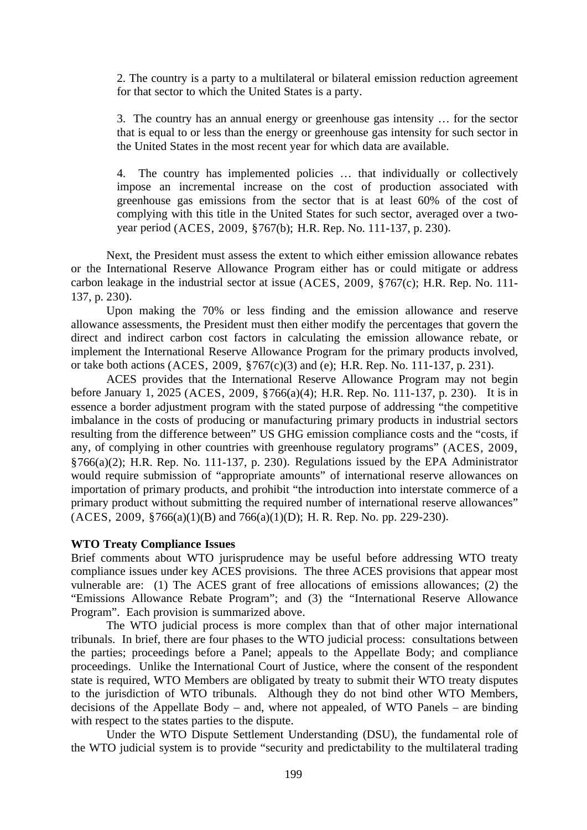2. The country is a party to a multilateral or bilateral emission reduction agreement for that sector to which the United States is a party.

3. The country has an annual energy or greenhouse gas intensity … for the sector that is equal to or less than the energy or greenhouse gas intensity for such sector in the United States in the most recent year for which data are available.

4. The country has implemented policies … that individually or collectively impose an incremental increase on the cost of production associated with greenhouse gas emissions from the sector that is at least 60% of the cost of complying with this title in the United States for such sector, averaged over a twoyear period (ACES, 2009, §767(b); H.R. Rep. No. 111-137, p. 230).

 Next, the President must assess the extent to which either emission allowance rebates or the International Reserve Allowance Program either has or could mitigate or address carbon leakage in the industrial sector at issue (ACES, 2009, §767(c); H.R. Rep. No. 111- 137, p. 230).

Upon making the 70% or less finding and the emission allowance and reserve allowance assessments, the President must then either modify the percentages that govern the direct and indirect carbon cost factors in calculating the emission allowance rebate, or implement the International Reserve Allowance Program for the primary products involved, or take both actions (ACES, 2009, §767(c)(3) and (e); H.R. Rep. No. 111-137, p. 231).

ACES provides that the International Reserve Allowance Program may not begin before January 1, 2025 (ACES, 2009, §766(a)(4); H.R. Rep. No. 111-137, p. 230). It is in essence a border adjustment program with the stated purpose of addressing "the competitive imbalance in the costs of producing or manufacturing primary products in industrial sectors resulting from the difference between" US GHG emission compliance costs and the "costs, if any, of complying in other countries with greenhouse regulatory programs" (ACES, 2009, §766(a)(2); H.R. Rep. No. 111-137, p. 230). Regulations issued by the EPA Administrator would require submission of "appropriate amounts" of international reserve allowances on importation of primary products, and prohibit "the introduction into interstate commerce of a primary product without submitting the required number of international reserve allowances"  $(ACES, 2009, \frac{8}{9}766(a)(1)(B)$  and  $766(a)(1)(D)$ ; H. R. Rep. No. pp. 229-230).

# **WTO Treaty Compliance Issues**

Brief comments about WTO jurisprudence may be useful before addressing WTO treaty compliance issues under key ACES provisions. The three ACES provisions that appear most vulnerable are: (1) The ACES grant of free allocations of emissions allowances; (2) the "Emissions Allowance Rebate Program"; and (3) the "International Reserve Allowance Program". Each provision is summarized above.

 The WTO judicial process is more complex than that of other major international tribunals. In brief, there are four phases to the WTO judicial process: consultations between the parties; proceedings before a Panel; appeals to the Appellate Body; and compliance proceedings. Unlike the International Court of Justice, where the consent of the respondent state is required, WTO Members are obligated by treaty to submit their WTO treaty disputes to the jurisdiction of WTO tribunals. Although they do not bind other WTO Members, decisions of the Appellate Body – and, where not appealed, of WTO Panels – are binding with respect to the states parties to the dispute.

Under the WTO Dispute Settlement Understanding (DSU), the fundamental role of the WTO judicial system is to provide "security and predictability to the multilateral trading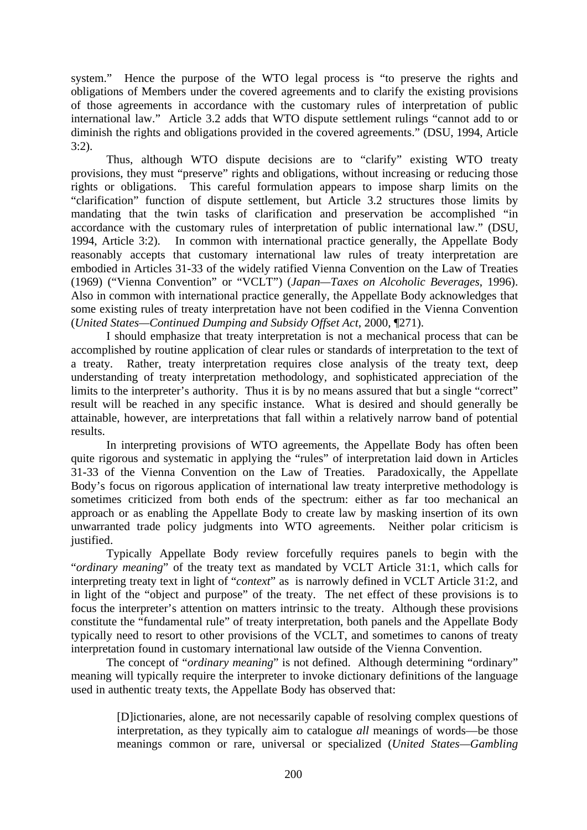system." Hence the purpose of the WTO legal process is "to preserve the rights and obligations of Members under the covered agreements and to clarify the existing provisions of those agreements in accordance with the customary rules of interpretation of public international law." Article 3.2 adds that WTO dispute settlement rulings "cannot add to or diminish the rights and obligations provided in the covered agreements." (DSU, 1994, Article 3:2).

 Thus, although WTO dispute decisions are to "clarify" existing WTO treaty provisions, they must "preserve" rights and obligations, without increasing or reducing those rights or obligations. This careful formulation appears to impose sharp limits on the "clarification" function of dispute settlement, but Article 3.2 structures those limits by mandating that the twin tasks of clarification and preservation be accomplished "in accordance with the customary rules of interpretation of public international law." (DSU, 1994, Article 3:2). In common with international practice generally, the Appellate Body reasonably accepts that customary international law rules of treaty interpretation are embodied in Articles 31-33 of the widely ratified Vienna Convention on the Law of Treaties (1969) ("Vienna Convention" or "VCLT") (*Japan—Taxes on Alcoholic Beverages*, 1996). Also in common with international practice generally, the Appellate Body acknowledges that some existing rules of treaty interpretation have not been codified in the Vienna Convention (*United States—Continued Dumping and Subsidy Offset Act*, 2000, ¶271).

 I should emphasize that treaty interpretation is not a mechanical process that can be accomplished by routine application of clear rules or standards of interpretation to the text of a treaty. Rather, treaty interpretation requires close analysis of the treaty text, deep understanding of treaty interpretation methodology, and sophisticated appreciation of the limits to the interpreter's authority. Thus it is by no means assured that but a single "correct" result will be reached in any specific instance. What is desired and should generally be attainable, however, are interpretations that fall within a relatively narrow band of potential results.

In interpreting provisions of WTO agreements, the Appellate Body has often been quite rigorous and systematic in applying the "rules" of interpretation laid down in Articles 31-33 of the Vienna Convention on the Law of Treaties. Paradoxically, the Appellate Body's focus on rigorous application of international law treaty interpretive methodology is sometimes criticized from both ends of the spectrum: either as far too mechanical an approach or as enabling the Appellate Body to create law by masking insertion of its own unwarranted trade policy judgments into WTO agreements. Neither polar criticism is justified.

Typically Appellate Body review forcefully requires panels to begin with the "*ordinary meaning*" of the treaty text as mandated by VCLT Article 31:1, which calls for interpreting treaty text in light of "*context*" as is narrowly defined in VCLT Article 31:2, and in light of the "object and purpose" of the treaty. The net effect of these provisions is to focus the interpreter's attention on matters intrinsic to the treaty. Although these provisions constitute the "fundamental rule" of treaty interpretation, both panels and the Appellate Body typically need to resort to other provisions of the VCLT, and sometimes to canons of treaty interpretation found in customary international law outside of the Vienna Convention.

The concept of "*ordinary meaning*" is not defined. Although determining "ordinary" meaning will typically require the interpreter to invoke dictionary definitions of the language used in authentic treaty texts, the Appellate Body has observed that:

> [D]ictionaries, alone, are not necessarily capable of resolving complex questions of interpretation, as they typically aim to catalogue *all* meanings of words—be those meanings common or rare, universal or specialized (*United States—Gambling*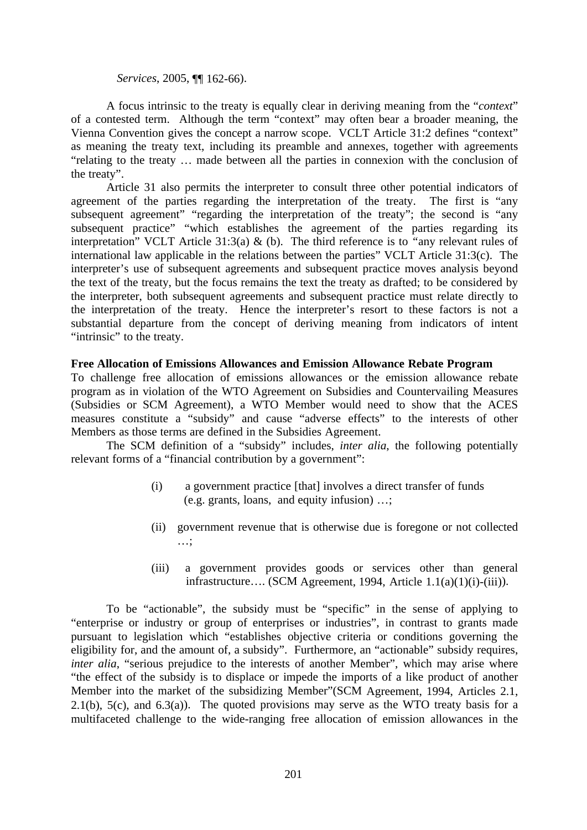## *Services*, 2005, ¶¶ 162-66).

 A focus intrinsic to the treaty is equally clear in deriving meaning from the "*context*" of a contested term. Although the term "context" may often bear a broader meaning, the Vienna Convention gives the concept a narrow scope. VCLT Article 31:2 defines "context" as meaning the treaty text, including its preamble and annexes, together with agreements "relating to the treaty … made between all the parties in connexion with the conclusion of the treaty".

 Article 31 also permits the interpreter to consult three other potential indicators of agreement of the parties regarding the interpretation of the treaty. The first is "any subsequent agreement" "regarding the interpretation of the treaty"; the second is "any subsequent practice" "which establishes the agreement of the parties regarding its interpretation" VCLT Article 31:3(a) & (b). The third reference is to *"*any relevant rules of international law applicable in the relations between the parties" VCLT Article 31:3(c). The interpreter's use of subsequent agreements and subsequent practice moves analysis beyond the text of the treaty, but the focus remains the text the treaty as drafted; to be considered by the interpreter, both subsequent agreements and subsequent practice must relate directly to the interpretation of the treaty. Hence the interpreter's resort to these factors is not a substantial departure from the concept of deriving meaning from indicators of intent "intrinsic" to the treaty.

## **Free Allocation of Emissions Allowances and Emission Allowance Rebate Program**

To challenge free allocation of emissions allowances or the emission allowance rebate program as in violation of the WTO Agreement on Subsidies and Countervailing Measures (Subsidies or SCM Agreement), a WTO Member would need to show that the ACES measures constitute a "subsidy" and cause "adverse effects" to the interests of other Members as those terms are defined in the Subsidies Agreement.

 The SCM definition of a "subsidy" includes, *inter alia*, the following potentially relevant forms of a "financial contribution by a government":

- (i) a government practice [that] involves a direct transfer of funds (e.g. grants, loans, and equity infusion) …;
- (ii) government revenue that is otherwise due is foregone or not collected …;
- (iii) a government provides goods or services other than general infrastructure…. (SCM Agreement, 1994, Article 1.1(a)(1)(i)-(iii)).

 To be "actionable", the subsidy must be "specific" in the sense of applying to "enterprise or industry or group of enterprises or industries", in contrast to grants made pursuant to legislation which "establishes objective criteria or conditions governing the eligibility for, and the amount of, a subsidy". Furthermore, an "actionable" subsidy requires, *inter alia*, "serious prejudice to the interests of another Member", which may arise where "the effect of the subsidy is to displace or impede the imports of a like product of another Member into the market of the subsidizing Member"(SCM Agreement, 1994, Articles 2.1, 2.1(b),  $5(c)$ , and  $6.3(a)$ ). The quoted provisions may serve as the WTO treaty basis for a multifaceted challenge to the wide-ranging free allocation of emission allowances in the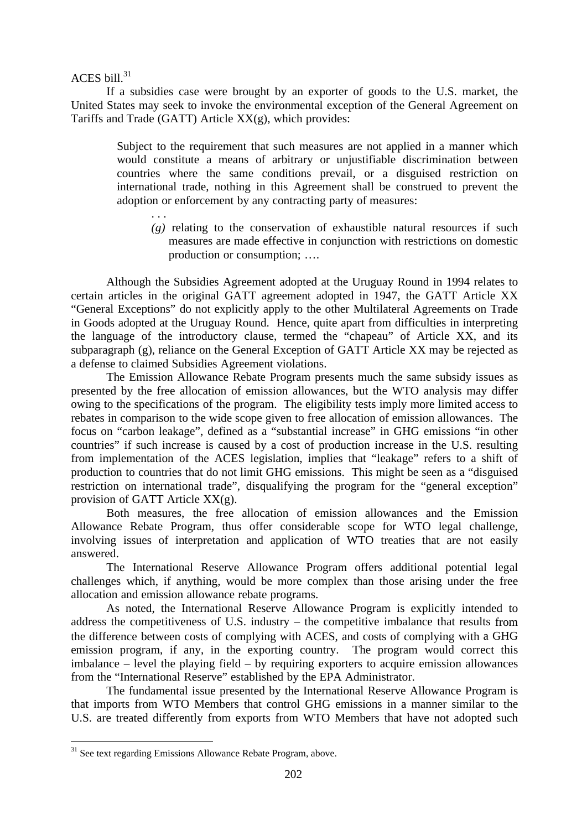ACES bill. $31$ 

 If a subsidies case were brought by an exporter of goods to the U.S. market, the United States may seek to invoke the environmental exception of the General Agreement on Tariffs and Trade (GATT) Article XX(g), which provides:

> Subject to the requirement that such measures are not applied in a manner which would constitute a means of arbitrary or unjustifiable discrimination between countries where the same conditions prevail, or a disguised restriction on international trade, nothing in this Agreement shall be construed to prevent the adoption or enforcement by any contracting party of measures:

. . .  $(g)$  relating to the conservation of exhaustible natural resources if such measures are made effective in conjunction with restrictions on domestic production or consumption; ….

 Although the Subsidies Agreement adopted at the Uruguay Round in 1994 relates to certain articles in the original GATT agreement adopted in 1947, the GATT Article XX "General Exceptions" do not explicitly apply to the other Multilateral Agreements on Trade in Goods adopted at the Uruguay Round. Hence, quite apart from difficulties in interpreting the language of the introductory clause, termed the "chapeau" of Article XX, and its subparagraph (g), reliance on the General Exception of GATT Article XX may be rejected as a defense to claimed Subsidies Agreement violations.

 The Emission Allowance Rebate Program presents much the same subsidy issues as presented by the free allocation of emission allowances, but the WTO analysis may differ owing to the specifications of the program. The eligibility tests imply more limited access to rebates in comparison to the wide scope given to free allocation of emission allowances. The focus on "carbon leakage", defined as a "substantial increase" in GHG emissions "in other countries" if such increase is caused by a cost of production increase in the U.S. resulting from implementation of the ACES legislation, implies that "leakage" refers to a shift of production to countries that do not limit GHG emissions. This might be seen as a "disguised restriction on international trade", disqualifying the program for the "general exception" provision of GATT Article XX(g).

Both measures, the free allocation of emission allowances and the Emission Allowance Rebate Program, thus offer considerable scope for WTO legal challenge, involving issues of interpretation and application of WTO treaties that are not easily answered.

The International Reserve Allowance Program offers additional potential legal challenges which, if anything, would be more complex than those arising under the free allocation and emission allowance rebate programs.

As noted, the International Reserve Allowance Program is explicitly intended to address the competitiveness of U.S. industry – the competitive imbalance that results from the difference between costs of complying with ACES, and costs of complying with a GHG emission program, if any, in the exporting country. The program would correct this imbalance – level the playing field – by requiring exporters to acquire emission allowances from the "International Reserve" established by the EPA Administrator.

The fundamental issue presented by the International Reserve Allowance Program is that imports from WTO Members that control GHG emissions in a manner similar to the U.S. are treated differently from exports from WTO Members that have not adopted such

<sup>&</sup>lt;sup>31</sup> See text regarding Emissions Allowance Rebate Program, above.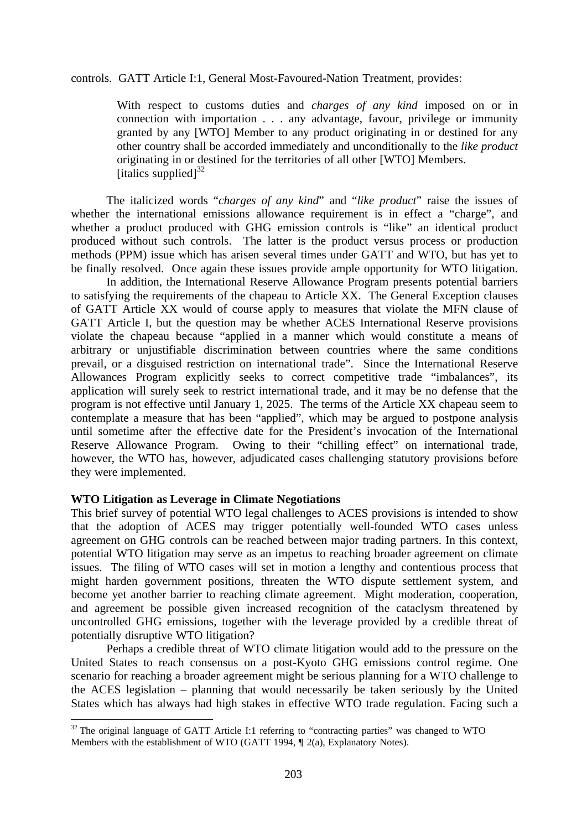controls. GATT Article I:1, General Most-Favoured-Nation Treatment, provides:

With respect to customs duties and *charges of any kind* imposed on or in connection with importation . . . any advantage, favour, privilege or immunity granted by any [WTO] Member to any product originating in or destined for any other country shall be accorded immediately and unconditionally to the *like product*  originating in or destined for the territories of all other [WTO] Members. [italics supplied] $^{32}$ 

 The italicized words "*charges of any kind*" and "*like product*" raise the issues of whether the international emissions allowance requirement is in effect a "charge", and whether a product produced with GHG emission controls is "like" an identical product produced without such controls. The latter is the product versus process or production methods (PPM) issue which has arisen several times under GATT and WTO, but has yet to be finally resolved. Once again these issues provide ample opportunity for WTO litigation.

In addition, the International Reserve Allowance Program presents potential barriers to satisfying the requirements of the chapeau to Article XX. The General Exception clauses of GATT Article XX would of course apply to measures that violate the MFN clause of GATT Article I, but the question may be whether ACES International Reserve provisions violate the chapeau because "applied in a manner which would constitute a means of arbitrary or unjustifiable discrimination between countries where the same conditions prevail, or a disguised restriction on international trade". Since the International Reserve Allowances Program explicitly seeks to correct competitive trade "imbalances", its application will surely seek to restrict international trade, and it may be no defense that the program is not effective until January 1, 2025. The terms of the Article XX chapeau seem to contemplate a measure that has been "applied", which may be argued to postpone analysis until sometime after the effective date for the President's invocation of the International Reserve Allowance Program. Owing to their "chilling effect" on international trade, however, the WTO has, however, adjudicated cases challenging statutory provisions before they were implemented.

#### **WTO Litigation as Leverage in Climate Negotiations**

1

This brief survey of potential WTO legal challenges to ACES provisions is intended to show that the adoption of ACES may trigger potentially well-founded WTO cases unless agreement on GHG controls can be reached between major trading partners. In this context, potential WTO litigation may serve as an impetus to reaching broader agreement on climate issues. The filing of WTO cases will set in motion a lengthy and contentious process that might harden government positions, threaten the WTO dispute settlement system, and become yet another barrier to reaching climate agreement. Might moderation, cooperation, and agreement be possible given increased recognition of the cataclysm threatened by uncontrolled GHG emissions, together with the leverage provided by a credible threat of potentially disruptive WTO litigation?

Perhaps a credible threat of WTO climate litigation would add to the pressure on the United States to reach consensus on a post-Kyoto GHG emissions control regime. One scenario for reaching a broader agreement might be serious planning for a WTO challenge to the ACES legislation – planning that would necessarily be taken seriously by the United States which has always had high stakes in effective WTO trade regulation. Facing such a

 $32$  The original language of GATT Article I:1 referring to "contracting parties" was changed to WTO Members with the establishment of WTO (GATT 1994, ¶ 2(a), Explanatory Notes).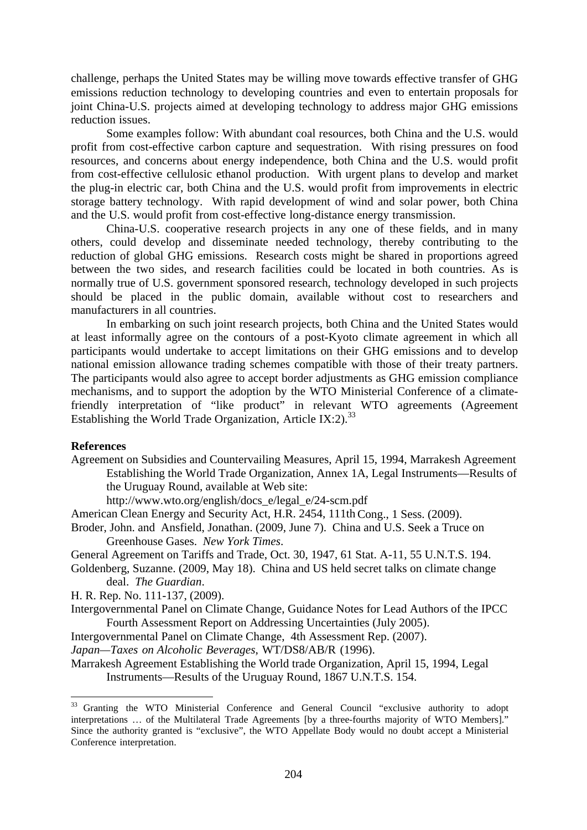challenge, perhaps the United States may be willing move towards effective transfer of GHG emissions reduction technology to developing countries and even to entertain proposals for joint China-U.S. projects aimed at developing technology to address major GHG emissions reduction issues.

Some examples follow: With abundant coal resources, both China and the U.S. would profit from cost-effective carbon capture and sequestration. With rising pressures on food resources, and concerns about energy independence, both China and the U.S. would profit from cost-effective cellulosic ethanol production. With urgent plans to develop and market the plug-in electric car, both China and the U.S. would profit from improvements in electric storage battery technology. With rapid development of wind and solar power, both China and the U.S. would profit from cost-effective long-distance energy transmission.

China-U.S. cooperative research projects in any one of these fields, and in many others, could develop and disseminate needed technology, thereby contributing to the reduction of global GHG emissions. Research costs might be shared in proportions agreed between the two sides, and research facilities could be located in both countries. As is normally true of U.S. government sponsored research, technology developed in such projects should be placed in the public domain, available without cost to researchers and manufacturers in all countries.

In embarking on such joint research projects, both China and the United States would at least informally agree on the contours of a post-Kyoto climate agreement in which all participants would undertake to accept limitations on their GHG emissions and to develop national emission allowance trading schemes compatible with those of their treaty partners. The participants would also agree to accept border adjustments as GHG emission compliance mechanisms, and to support the adoption by the WTO Ministerial Conference of a climatefriendly interpretation of "like product" in relevant WTO agreements (Agreement Establishing the World Trade Organization, Article IX:2).<sup>33</sup>

# **References**

1

Agreement on Subsidies and Countervailing Measures, April 15, 1994, Marrakesh Agreement Establishing the World Trade Organization, Annex 1A, Legal Instruments—Results of the Uruguay Round, available at Web site:

http://www.wto.org/english/docs\_e/legal\_e/24-scm.pdf

American Clean Energy and Security Act, H.R. 2454, 111th Cong., 1 Sess. (2009).

Broder, John. and Ansfield, Jonathan. (2009, June 7). China and U.S. Seek a Truce on Greenhouse Gases. *New York Times*.

General Agreement on Tariffs and Trade, Oct. 30, 1947, 61 Stat. A-11, 55 U.N.T.S. 194.

Goldenberg, Suzanne. (2009, May 18). China and US held secret talks on climate change deal. *The Guardian*.

H. R. Rep. No. 111-137, (2009).

- Intergovernmental Panel on Climate Change, Guidance Notes for Lead Authors of the IPCC Fourth Assessment Report on Addressing Uncertainties (July 2005).
- Intergovernmental Panel on Climate Change, 4th Assessment Rep. (2007).

*Japan—Taxes on Alcoholic Beverages*, WT/DS8/AB/R (1996).

Marrakesh Agreement Establishing the World trade Organization, April 15, 1994, Legal Instruments—Results of the Uruguay Round, 1867 U.N.T.S. 154.

<sup>&</sup>lt;sup>33</sup> Granting the WTO Ministerial Conference and General Council "exclusive authority to adopt interpretations … of the Multilateral Trade Agreements [by a three-fourths majority of WTO Members]." Since the authority granted is "exclusive", the WTO Appellate Body would no doubt accept a Ministerial Conference interpretation.